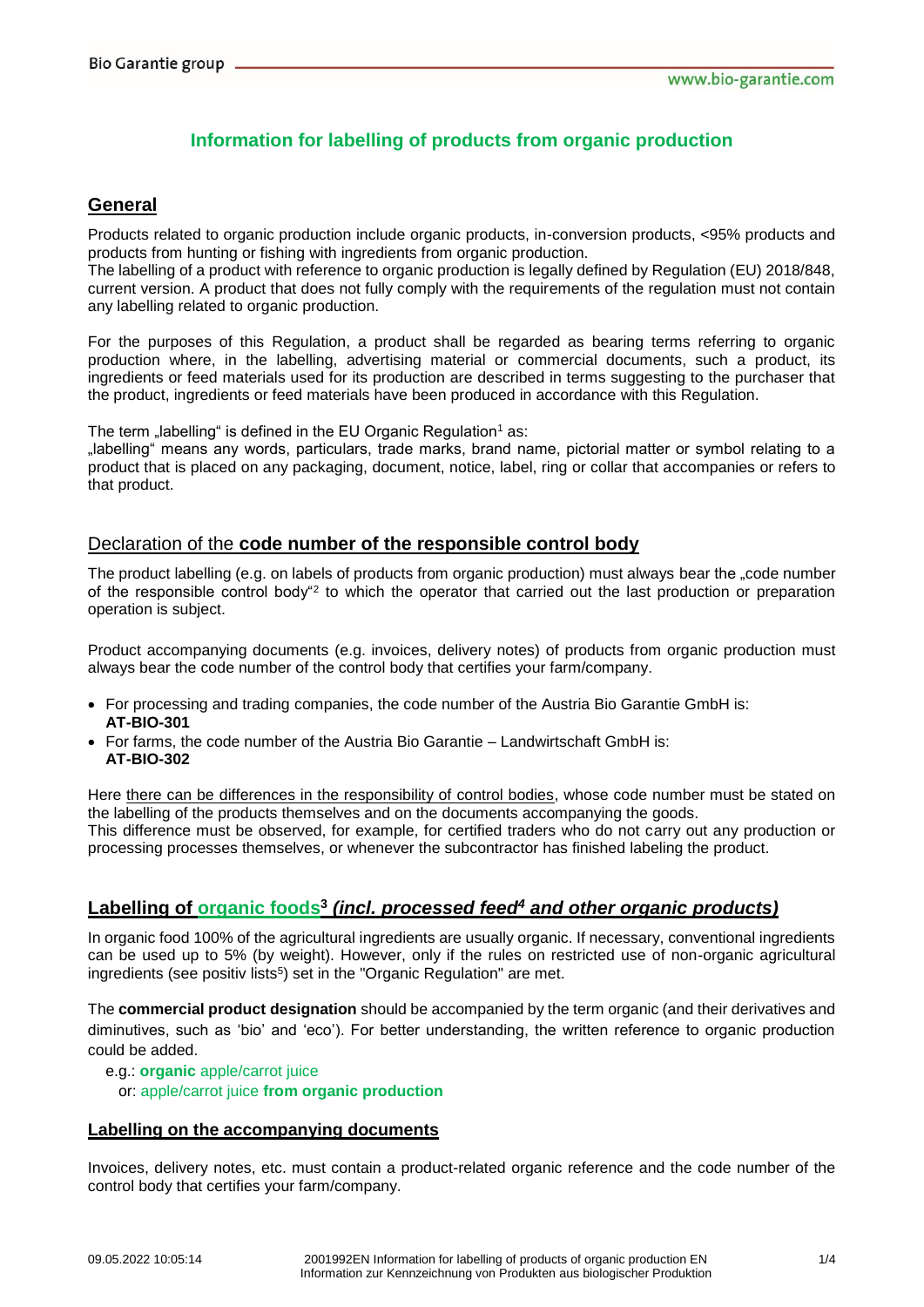# **Information for labelling of products from organic production**

# **General**

Products related to organic production include organic products, in-conversion products, <95% products and products from hunting or fishing with ingredients from organic production.

The labelling of a product with reference to organic production is legally defined by Regulation (EU) 2018/848, current version. A product that does not fully comply with the requirements of the regulation must not contain any labelling related to organic production.

For the purposes of this Regulation, a product shall be regarded as bearing terms referring to organic production where, in the labelling, advertising material or commercial documents, such a product, its ingredients or feed materials used for its production are described in terms suggesting to the purchaser that the product, ingredients or feed materials have been produced in accordance with this Regulation.

The term "labelling" is defined in the EU Organic Regulation<sup>1</sup> as:

"labelling" means any words, particulars, trade marks, brand name, pictorial matter or symbol relating to a product that is placed on any packaging, document, notice, label, ring or collar that accompanies or refers to that product.

## Declaration of the **code number of the responsible control body**

The product labelling (e.g. on labels of products from organic production) must always bear the "code number of the responsible control body<sup>"2</sup> to which the operator that carried out the last production or preparation operation is subject.

Product accompanying documents (e.g. invoices, delivery notes) of products from organic production must always bear the code number of the control body that certifies your farm/company.

- For processing and trading companies, the code number of the Austria Bio Garantie GmbH is: **AT-BIO-301**
- For farms, the code number of the Austria Bio Garantie Landwirtschaft GmbH is: **AT-BIO-302**

Here there can be differences in the responsibility of control bodies, whose code number must be stated on the labelling of the products themselves and on the documents accompanying the goods. This difference must be observed, for example, for certified traders who do not carry out any production or processing processes themselves, or whenever the subcontractor has finished labeling the product.

# **Labelling of organic foods 3** *(incl. processed feed<sup>4</sup> and other organic products)*

In organic food 100% of the agricultural ingredients are usually organic. If necessary, conventional ingredients can be used up to 5% (by weight). However, only if the rules on restricted use of non-organic agricultural ingredients (see positiv lists<sup>5</sup>) set in the "Organic Regulation" are met.

The **commercial product designation** should be accompanied by the term organic (and their derivatives and diminutives, such as 'bio' and 'eco'). For better understanding, the written reference to organic production could be added.

e.g.: **organic** apple/carrot juice or: apple/carrot juice **from organic production**

#### **Labelling on the accompanying documents**

Invoices, delivery notes, etc. must contain a product-related organic reference and the code number of the control body that certifies your farm/company.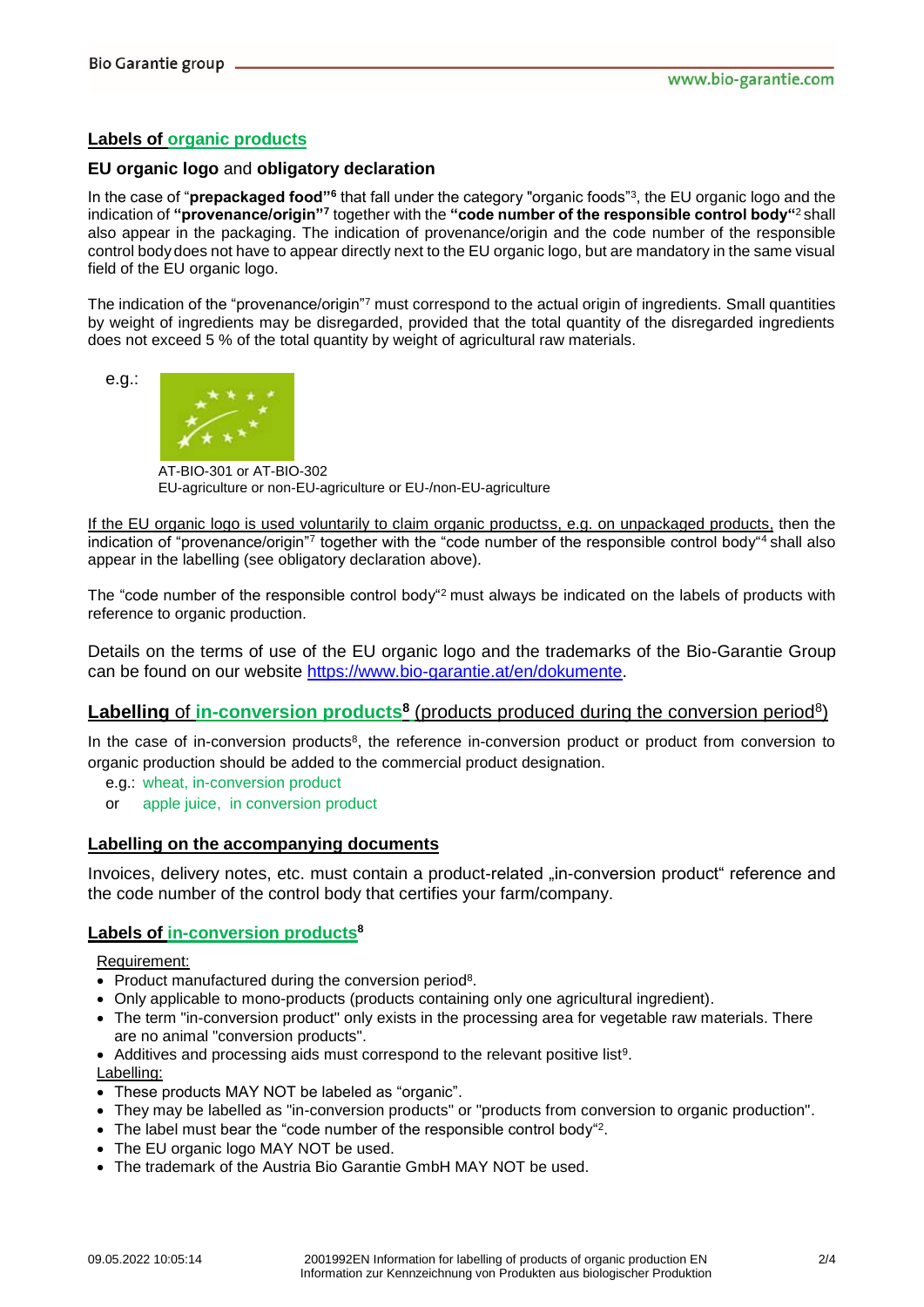e.g.:

### **Labels of organic products**

#### **EU organic logo** and **obligatory declaration**

In the case of "**prepackaged food**"<sup>6</sup> that fall under the category "organic foods"<sup>3</sup>, the EU organic logo and the indication of **"provenance/origin"<sup>7</sup>** together with the **"code number of the responsible control body"**<sup>2</sup> shall also appear in the packaging. The indication of provenance/origin and the code number of the responsible control body does not have to appear directly next to the EU organic logo, but are mandatory in the same visual field of the EU organic logo.

The indication of the "provenance/origin"<sup>7</sup> must correspond to the actual origin of ingredients. Small quantities by weight of ingredients may be disregarded, provided that the total quantity of the disregarded ingredients does not exceed 5 % of the total quantity by weight of agricultural raw materials.



AT-BIO-301 or AT-BIO-302 EU-agriculture or non-EU-agriculture or EU-/non-EU-agriculture

If the EU organic logo is used voluntarily to claim organic productss, e.g. on unpackaged products, then the indication of "provenance/origin"<sup>7</sup> together with the "code number of the responsible control body"<sup>4</sup> shall also appear in the labelling (see obligatory declaration above).

The "code number of the responsible control body"<sup>2</sup> must always be indicated on the labels of products with reference to organic production.

Details on the terms of use of the EU organic logo and the trademarks of the Bio-Garantie Group can be found on our website [https://www.bio-garantie.at/en/dokumente.](https://www.bio-garantie.at/en/dokumente)

## **Labelling of in-conversion products<sup>8</sup>** (products produced during the conversion period<sup>8</sup>)

In the case of in-conversion products<sup>8</sup>, the reference in-conversion product or product from conversion to organic production should be added to the commercial product designation.

- e.g.: wheat, in-conversion product
- or apple juice, in conversion product

#### **Labelling on the accompanying documents**

Invoices, delivery notes, etc. must contain a product-related "in-conversion product" reference and the code number of the control body that certifies your farm/company.

#### **Labels of in-conversion products<sup>8</sup>**

Requirement:

- Product manufactured during the conversion period<sup>8</sup>.
- Only applicable to mono-products (products containing only one agricultural ingredient).
- The term "in-conversion product" only exists in the processing area for vegetable raw materials. There are no animal "conversion products".
- Additives and processing aids must correspond to the relevant positive list<sup>9</sup>.

Labelling:

- These products MAY NOT be labeled as "organic".
- They may be labelled as "in-conversion products" or "products from conversion to organic production".
- The label must bear the "code number of the responsible control body"<sup>2</sup>.
- The EU organic logo MAY NOT be used.
- The trademark of the Austria Bio Garantie GmbH MAY NOT be used.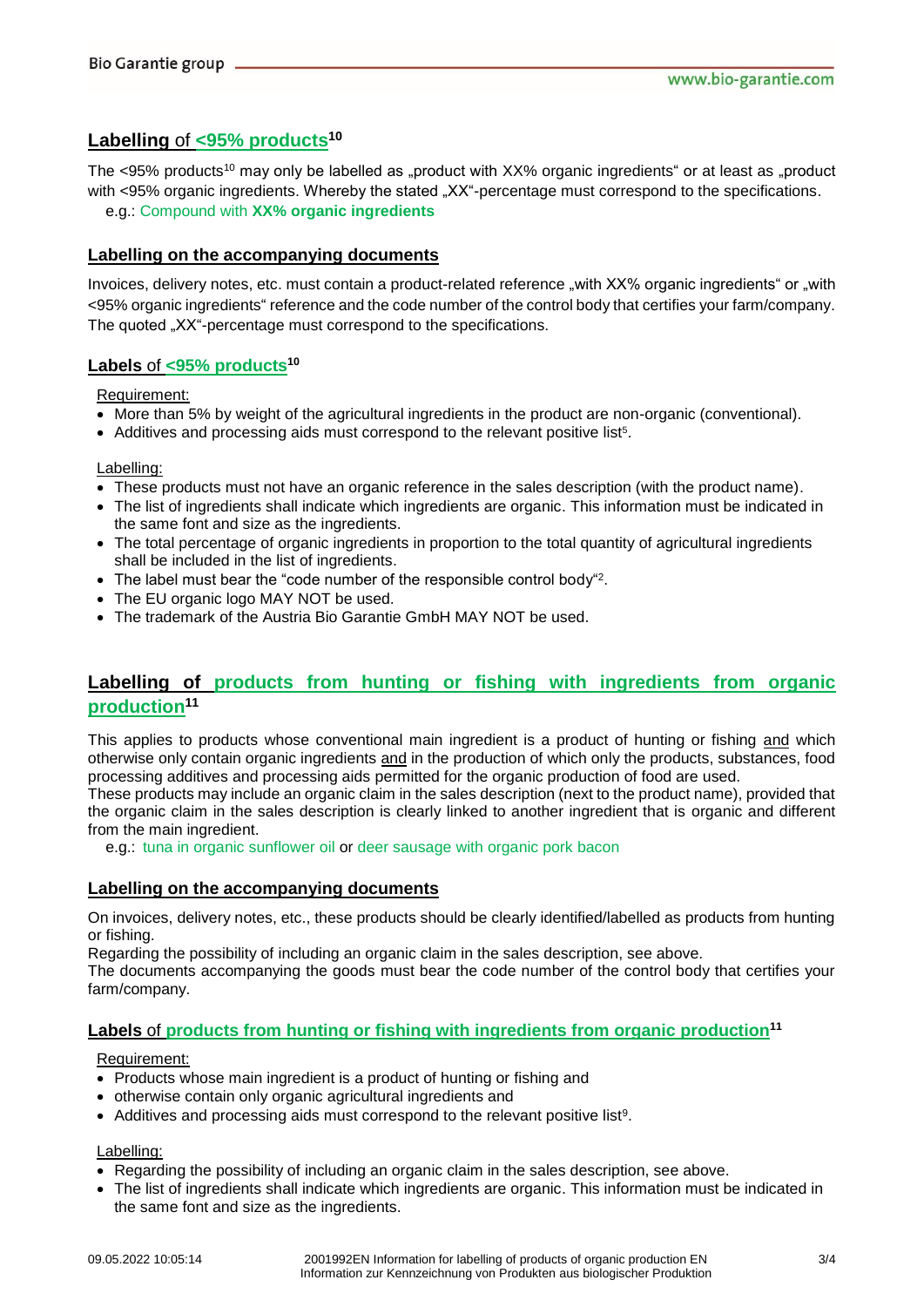## **Labelling** of **<95% products<sup>10</sup>**

The  $\leq$ 95% products<sup>10</sup> may only be labelled as "product with XX% organic ingredients" or at least as "product with <95% organic ingredients. Whereby the stated "XX"-percentage must correspond to the specifications. e.g.: Compound with **XX% organic ingredients**

#### **Labelling on the accompanying documents**

Invoices, delivery notes, etc. must contain a product-related reference "with XX% organic ingredients" or "with <95% organic ingredients" reference and the code number of the control body that certifies your farm/company. The quoted "XX"-percentage must correspond to the specifications.

### **Labels** of **<95% products<sup>10</sup>**

Requirement:

- More than 5% by weight of the agricultural ingredients in the product are non-organic (conventional).
- Additives and processing aids must correspond to the relevant positive list<sup>5</sup>.

Labelling:

- These products must not have an organic reference in the sales description (with the product name).
- The list of ingredients shall indicate which ingredients are organic. This information must be indicated in the same font and size as the ingredients.
- The total percentage of organic ingredients in proportion to the total quantity of agricultural ingredients shall be included in the list of ingredients.
- The label must bear the "code number of the responsible control body"<sup>2</sup>.
- The EU organic logo MAY NOT be used.
- The trademark of the Austria Bio Garantie GmbH MAY NOT be used.

## **Labelling of products from hunting or fishing with ingredients from organic production<sup>11</sup>**

This applies to products whose conventional main ingredient is a product of hunting or fishing and which otherwise only contain organic ingredients and in the production of which only the products, substances, food processing additives and processing aids permitted for the organic production of food are used.

These products may include an organic claim in the sales description (next to the product name), provided that the organic claim in the sales description is clearly linked to another ingredient that is organic and different from the main ingredient.

e.g.: tuna in organic sunflower oil or deer sausage with organic pork bacon

#### **Labelling on the accompanying documents**

On invoices, delivery notes, etc., these products should be clearly identified/labelled as products from hunting or fishing.

Regarding the possibility of including an organic claim in the sales description, see above.

The documents accompanying the goods must bear the code number of the control body that certifies your farm/company.

### **Labels** of **products from hunting or fishing with ingredients from organic production<sup>11</sup>**

Requirement:

- Products whose main ingredient is a product of hunting or fishing and
- otherwise contain only organic agricultural ingredients and
- Additives and processing aids must correspond to the relevant positive list<sup>9</sup>.

Labelling:

- Regarding the possibility of including an organic claim in the sales description, see above.
- The list of ingredients shall indicate which ingredients are organic. This information must be indicated in the same font and size as the ingredients.